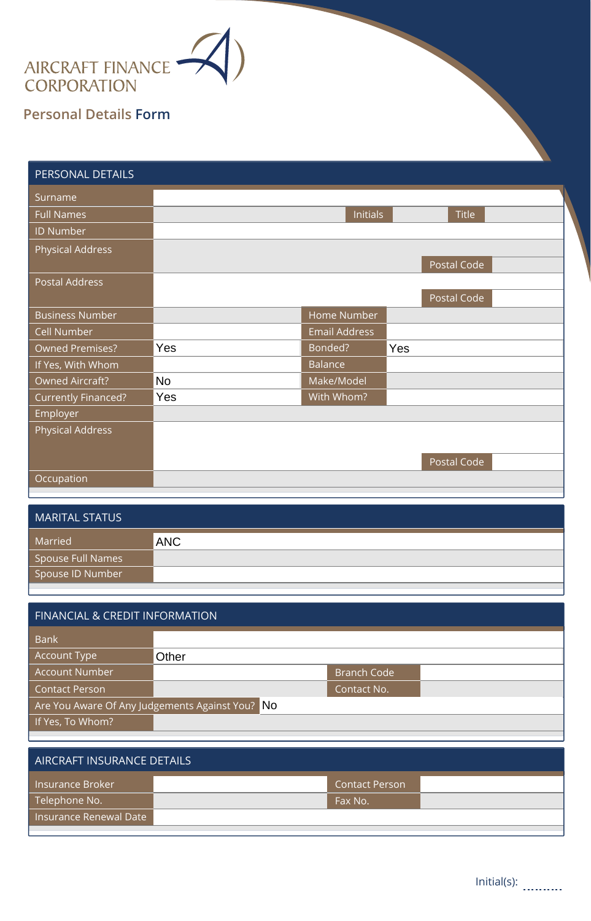

## **Personal Details Form**

Insurance Renewal Date

| PERSONAL DETAILS               |            |                      |     |              |  |  |  |
|--------------------------------|------------|----------------------|-----|--------------|--|--|--|
| Surname                        |            |                      |     |              |  |  |  |
| <b>Full Names</b>              |            | <b>Initials</b>      |     | <b>Title</b> |  |  |  |
| <b>ID Number</b>               |            |                      |     |              |  |  |  |
| <b>Physical Address</b>        |            |                      |     | Postal Code  |  |  |  |
| <b>Postal Address</b>          |            |                      |     | Postal Code  |  |  |  |
| <b>Business Number</b>         |            | Home Number          |     |              |  |  |  |
| <b>Cell Number</b>             |            | <b>Email Address</b> |     |              |  |  |  |
| <b>Owned Premises?</b>         | Yes        | Bonded?              | Yes |              |  |  |  |
| If Yes, With Whom              |            | Balance              |     |              |  |  |  |
| <b>Owned Aircraft?</b>         | <b>No</b>  | Make/Model           |     |              |  |  |  |
| Currently Financed?            | Yes        | With Whom?           |     |              |  |  |  |
| Employer                       |            |                      |     |              |  |  |  |
| <b>Physical Address</b>        |            |                      |     | Postal Code  |  |  |  |
| Occupation                     |            |                      |     |              |  |  |  |
| <b>MARITAL STATUS</b>          |            |                      |     |              |  |  |  |
| Married                        | <b>ANC</b> |                      |     |              |  |  |  |
| Spouse Full Names              |            |                      |     |              |  |  |  |
| Spouse ID Number               |            |                      |     |              |  |  |  |
|                                |            |                      |     |              |  |  |  |
| FINANCIAL & CREDIT INFORMATION |            |                      |     |              |  |  |  |
| <b>Bank</b>                    |            |                      |     |              |  |  |  |
| <b>Account Type</b>            | Other      |                      |     |              |  |  |  |

| <b>MARITAL STATUS</b> |            |
|-----------------------|------------|
| Married               | <b>ANC</b> |
| Spouse Full Names     |            |
| Spouse ID Number      |            |

| <b>FINANCIAL &amp; CREDIT INFORMATION</b>       |       |                       |  |  |  |  |  |
|-------------------------------------------------|-------|-----------------------|--|--|--|--|--|
| <b>Bank</b>                                     |       |                       |  |  |  |  |  |
| <b>Account Type</b>                             | Other |                       |  |  |  |  |  |
| <b>Account Number</b>                           |       | <b>Branch Code</b>    |  |  |  |  |  |
| <b>Contact Person</b>                           |       | Contact No.           |  |  |  |  |  |
| Are You Aware Of Any Judgements Against You? No |       |                       |  |  |  |  |  |
| If Yes, To Whom?                                |       |                       |  |  |  |  |  |
|                                                 |       |                       |  |  |  |  |  |
| AIRCRAFT INSURANCE DETAILS                      |       |                       |  |  |  |  |  |
| <b>Insurance Broker</b>                         |       | <b>Contact Person</b> |  |  |  |  |  |
| Telephone No.                                   |       | Fax No.               |  |  |  |  |  |